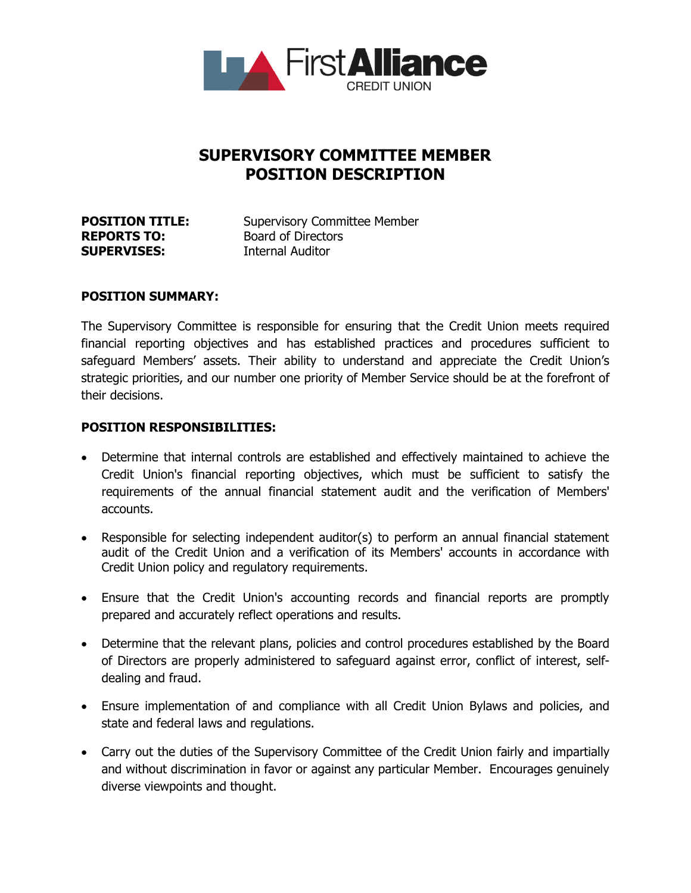

# **SUPERVISORY COMMITTEE MEMBER POSITION DESCRIPTION**

| <b>POSITION TITLE:</b> | <b>Supervisory Committee Member</b> |
|------------------------|-------------------------------------|
| <b>REPORTS TO:</b>     | <b>Board of Directors</b>           |
| <b>SUPERVISES:</b>     | <b>Internal Auditor</b>             |

#### **POSITION SUMMARY:**

The Supervisory Committee is responsible for ensuring that the Credit Union meets required financial reporting objectives and has established practices and procedures sufficient to safeguard Members' assets. Their ability to understand and appreciate the Credit Union's strategic priorities, and our number one priority of Member Service should be at the forefront of their decisions.

#### **POSITION RESPONSIBILITIES:**

- Determine that internal controls are established and effectively maintained to achieve the Credit Union's financial reporting objectives, which must be sufficient to satisfy the requirements of the annual financial statement audit and the verification of Members' accounts.
- Responsible for selecting independent auditor(s) to perform an annual financial statement audit of the Credit Union and a verification of its Members' accounts in accordance with Credit Union policy and regulatory requirements.
- Ensure that the Credit Union's accounting records and financial reports are promptly prepared and accurately reflect operations and results.
- Determine that the relevant plans, policies and control procedures established by the Board of Directors are properly administered to safeguard against error, conflict of interest, selfdealing and fraud.
- Ensure implementation of and compliance with all Credit Union Bylaws and policies, and state and federal laws and regulations.
- Carry out the duties of the Supervisory Committee of the Credit Union fairly and impartially and without discrimination in favor or against any particular Member. Encourages genuinely diverse viewpoints and thought.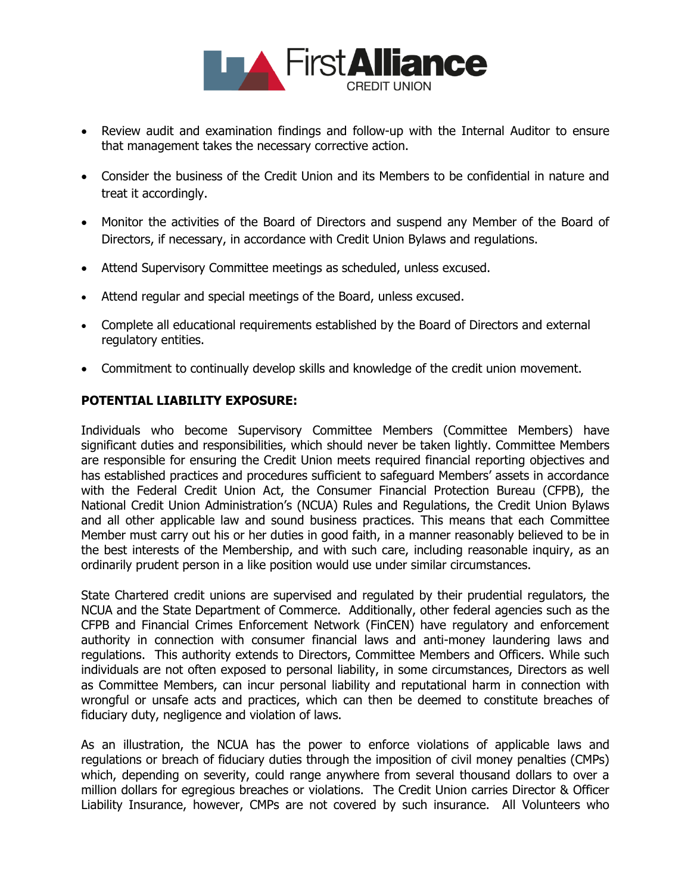

- Review audit and examination findings and follow-up with the Internal Auditor to ensure that management takes the necessary corrective action.
- Consider the business of the Credit Union and its Members to be confidential in nature and treat it accordingly.
- Monitor the activities of the Board of Directors and suspend any Member of the Board of Directors, if necessary, in accordance with Credit Union Bylaws and regulations.
- Attend Supervisory Committee meetings as scheduled, unless excused.
- Attend regular and special meetings of the Board, unless excused.
- Complete all educational requirements established by the Board of Directors and external regulatory entities.
- Commitment to continually develop skills and knowledge of the credit union movement.

## **POTENTIAL LIABILITY EXPOSURE:**

Individuals who become Supervisory Committee Members (Committee Members) have significant duties and responsibilities, which should never be taken lightly. Committee Members are responsible for ensuring the Credit Union meets required financial reporting objectives and has established practices and procedures sufficient to safeguard Members' assets in accordance with the Federal Credit Union Act, the Consumer Financial Protection Bureau (CFPB), the National Credit Union Administration's (NCUA) Rules and Regulations, the Credit Union Bylaws and all other applicable law and sound business practices. This means that each Committee Member must carry out his or her duties in good faith, in a manner reasonably believed to be in the best interests of the Membership, and with such care, including reasonable inquiry, as an ordinarily prudent person in a like position would use under similar circumstances.

State Chartered credit unions are supervised and regulated by their prudential regulators, the NCUA and the State Department of Commerce. Additionally, other federal agencies such as the CFPB and Financial Crimes Enforcement Network (FinCEN) have regulatory and enforcement authority in connection with consumer financial laws and anti-money laundering laws and regulations. This authority extends to Directors, Committee Members and Officers. While such individuals are not often exposed to personal liability, in some circumstances, Directors as well as Committee Members, can incur personal liability and reputational harm in connection with wrongful or unsafe acts and practices, which can then be deemed to constitute breaches of fiduciary duty, negligence and violation of laws.

As an illustration, the NCUA has the power to enforce violations of applicable laws and regulations or breach of fiduciary duties through the imposition of civil money penalties (CMPs) which, depending on severity, could range anywhere from several thousand dollars to over a million dollars for egregious breaches or violations. The Credit Union carries Director & Officer Liability Insurance, however, CMPs are not covered by such insurance. All Volunteers who